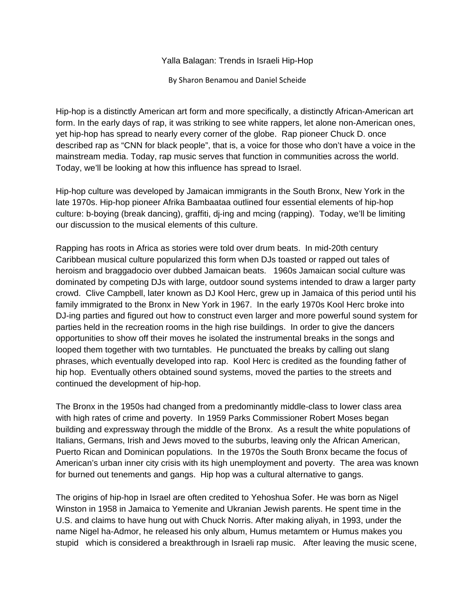Yalla Balagan: Trends in Israeli Hip-Hop

By Sharon Benamou and Daniel Scheide

Hip-hop is a distinctly American art form and more specifically, a distinctly African-American art form. In the early days of rap, it was striking to see white rappers, let alone non-American ones, yet hip-hop has spread to nearly every corner of the globe. Rap pioneer Chuck D. once described rap as "CNN for black people", that is, a voice for those who don't have a voice in the mainstream media. Today, rap music serves that function in communities across the world. Today, we'll be looking at how this influence has spread to Israel.

Hip-hop culture was developed by Jamaican immigrants in the South Bronx, New York in the late 1970s. Hip-hop pioneer Afrika Bambaataa outlined four essential elements of hip-hop culture: b-boying (break dancing), graffiti, dj-ing and mcing (rapping). Today, we'll be limiting our discussion to the musical elements of this culture.

Rapping has roots in Africa as stories were told over drum beats. In mid-20th century Caribbean musical culture popularized this form when DJs toasted or rapped out tales of heroism and braggadocio over dubbed Jamaican beats. 1960s Jamaican social culture was dominated by competing DJs with large, outdoor sound systems intended to draw a larger party crowd. Clive Campbell, later known as DJ Kool Herc, grew up in Jamaica of this period until his family immigrated to the Bronx in New York in 1967. In the early 1970s Kool Herc broke into DJ-ing parties and figured out how to construct even larger and more powerful sound system for parties held in the recreation rooms in the high rise buildings. In order to give the dancers opportunities to show off their moves he isolated the instrumental breaks in the songs and looped them together with two turntables. He punctuated the breaks by calling out slang phrases, which eventually developed into rap. Kool Herc is credited as the founding father of hip hop. Eventually others obtained sound systems, moved the parties to the streets and continued the development of hip-hop.

The Bronx in the 1950s had changed from a predominantly middle-class to lower class area with high rates of crime and poverty. In 1959 Parks Commissioner Robert Moses began building and expressway through the middle of the Bronx. As a result the white populations of Italians, Germans, Irish and Jews moved to the suburbs, leaving only the African American, Puerto Rican and Dominican populations. In the 1970s the South Bronx became the focus of American's urban inner city crisis with its high unemployment and poverty. The area was known for burned out tenements and gangs. Hip hop was a cultural alternative to gangs.

The origins of hip-hop in Israel are often credited to Yehoshua Sofer. He was born as Nigel Winston in 1958 in Jamaica to Yemenite and Ukranian Jewish parents. He spent time in the U.S. and claims to have hung out with Chuck Norris. After making aliyah, in 1993, under the name Nigel ha-Admor, he released his only album, Humus metamtem or Humus makes you stupid which is considered a breakthrough in Israeli rap music. After leaving the music scene,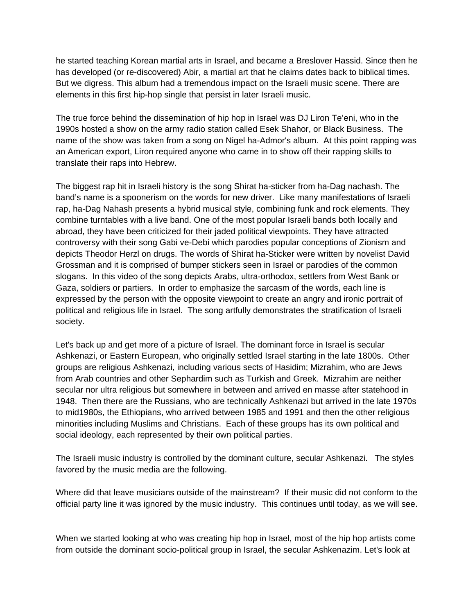he started teaching Korean martial arts in Israel, and became a Breslover Hassid. Since then he has developed (or re-discovered) Abir, a martial art that he claims dates back to biblical times. But we digress. This album had a tremendous impact on the Israeli music scene. There are elements in this first hip-hop single that persist in later Israeli music.

The true force behind the dissemination of hip hop in Israel was DJ Liron Te'eni, who in the 1990s hosted a show on the army radio station called Esek Shahor, or Black Business. The name of the show was taken from a song on Nigel ha-Admor's album. At this point rapping was an American export, Liron required anyone who came in to show off their rapping skills to translate their raps into Hebrew.

The biggest rap hit in Israeli history is the song Shirat ha-sticker from ha-Dag nachash. The band's name is a spoonerism on the words for new driver. Like many manifestations of Israeli rap, ha-Dag Nahash presents a hybrid musical style, combining funk and rock elements. They combine turntables with a live band. One of the most popular Israeli bands both locally and abroad, they have been criticized for their jaded political viewpoints. They have attracted controversy with their song Gabi ve-Debi which parodies popular conceptions of Zionism and depicts Theodor Herzl on drugs. The words of Shirat ha-Sticker were written by novelist David Grossman and it is comprised of bumper stickers seen in Israel or parodies of the common slogans. In this video of the song depicts Arabs, ultra-orthodox, settlers from West Bank or Gaza, soldiers or partiers. In order to emphasize the sarcasm of the words, each line is expressed by the person with the opposite viewpoint to create an angry and ironic portrait of political and religious life in Israel. The song artfully demonstrates the stratification of Israeli society.

Let's back up and get more of a picture of Israel. The dominant force in Israel is secular Ashkenazi, or Eastern European, who originally settled Israel starting in the late 1800s. Other groups are religious Ashkenazi, including various sects of Hasidim; Mizrahim, who are Jews from Arab countries and other Sephardim such as Turkish and Greek. Mizrahim are neither secular nor ultra religious but somewhere in between and arrived en masse after statehood in 1948. Then there are the Russians, who are technically Ashkenazi but arrived in the late 1970s to mid1980s, the Ethiopians, who arrived between 1985 and 1991 and then the other religious minorities including Muslims and Christians. Each of these groups has its own political and social ideology, each represented by their own political parties.

The Israeli music industry is controlled by the dominant culture, secular Ashkenazi. The styles favored by the music media are the following.

Where did that leave musicians outside of the mainstream? If their music did not conform to the official party line it was ignored by the music industry. This continues until today, as we will see.

When we started looking at who was creating hip hop in Israel, most of the hip hop artists come from outside the dominant socio-political group in Israel, the secular Ashkenazim. Let's look at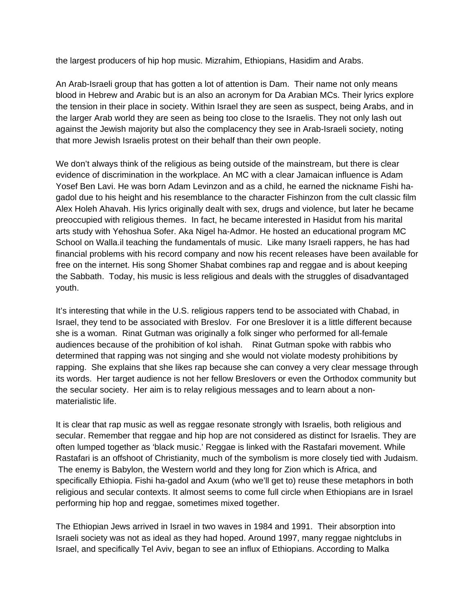the largest producers of hip hop music. Mizrahim, Ethiopians, Hasidim and Arabs.

An Arab-Israeli group that has gotten a lot of attention is Dam. Their name not only means blood in Hebrew and Arabic but is an also an acronym for Da Arabian MCs. Their lyrics explore the tension in their place in society. Within Israel they are seen as suspect, being Arabs, and in the larger Arab world they are seen as being too close to the Israelis. They not only lash out against the Jewish majority but also the complacency they see in Arab-Israeli society, noting that more Jewish Israelis protest on their behalf than their own people.

We don't always think of the religious as being outside of the mainstream, but there is clear evidence of discrimination in the workplace. An MC with a clear Jamaican influence is Adam Yosef Ben Lavi. He was born Adam Levinzon and as a child, he earned the nickname Fishi hagadol due to his height and his resemblance to the character Fishinzon from the cult classic film Alex Holeh Ahavah. His lyrics originally dealt with sex, drugs and violence, but later he became preoccupied with religious themes. In fact, he became interested in Hasidut from his marital arts study with Yehoshua Sofer. Aka Nigel ha-Admor. He hosted an educational program MC School on Walla.il teaching the fundamentals of music. Like many Israeli rappers, he has had financial problems with his record company and now his recent releases have been available for free on the internet. His song Shomer Shabat combines rap and reggae and is about keeping the Sabbath. Today, his music is less religious and deals with the struggles of disadvantaged youth.

It's interesting that while in the U.S. religious rappers tend to be associated with Chabad, in Israel, they tend to be associated with Breslov. For one Breslover it is a little different because she is a woman. Rinat Gutman was originally a folk singer who performed for all-female audiences because of the prohibition of kol ishah. Rinat Gutman spoke with rabbis who determined that rapping was not singing and she would not violate modesty prohibitions by rapping. She explains that she likes rap because she can convey a very clear message through its words. Her target audience is not her fellow Breslovers or even the Orthodox community but the secular society. Her aim is to relay religious messages and to learn about a nonmaterialistic life.

It is clear that rap music as well as reggae resonate strongly with Israelis, both religious and secular. Remember that reggae and hip hop are not considered as distinct for Israelis. They are often lumped together as 'black music.' Reggae is linked with the Rastafari movement. While Rastafari is an offshoot of Christianity, much of the symbolism is more closely tied with Judaism. The enemy is Babylon, the Western world and they long for Zion which is Africa, and specifically Ethiopia. Fishi ha-gadol and Axum (who we'll get to) reuse these metaphors in both religious and secular contexts. It almost seems to come full circle when Ethiopians are in Israel performing hip hop and reggae, sometimes mixed together.

The Ethiopian Jews arrived in Israel in two waves in 1984 and 1991. Their absorption into Israeli society was not as ideal as they had hoped. Around 1997, many reggae nightclubs in Israel, and specifically Tel Aviv, began to see an influx of Ethiopians. According to Malka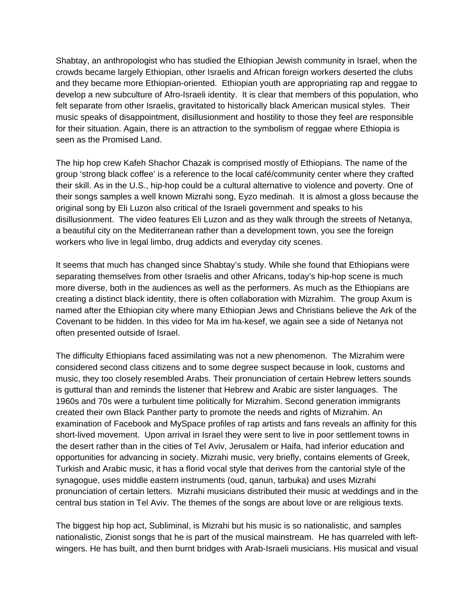Shabtay, an anthropologist who has studied the Ethiopian Jewish community in Israel, when the crowds became largely Ethiopian, other Israelis and African foreign workers deserted the clubs and they became more Ethiopian-oriented. Ethiopian youth are appropriating rap and reggae to develop a new subculture of Afro-Israeli identity. It is clear that members of this population, who felt separate from other Israelis, gravitated to historically black American musical styles. Their music speaks of disappointment, disillusionment and hostility to those they feel are responsible for their situation. Again, there is an attraction to the symbolism of reggae where Ethiopia is seen as the Promised Land.

The hip hop crew Kafeh Shachor Chazak is comprised mostly of Ethiopians. The name of the group 'strong black coffee' is a reference to the local café/community center where they crafted their skill. As in the U.S., hip-hop could be a cultural alternative to violence and poverty. One of their songs samples a well known Mizrahi song, Eyzo medinah. It is almost a gloss because the original song by Eli Luzon also critical of the Israeli government and speaks to his disillusionment. The video features Eli Luzon and as they walk through the streets of Netanya, a beautiful city on the Mediterranean rather than a development town, you see the foreign workers who live in legal limbo, drug addicts and everyday city scenes.

It seems that much has changed since Shabtay's study. While she found that Ethiopians were separating themselves from other Israelis and other Africans, today's hip-hop scene is much more diverse, both in the audiences as well as the performers. As much as the Ethiopians are creating a distinct black identity, there is often collaboration with Mizrahim. The group Axum is named after the Ethiopian city where many Ethiopian Jews and Christians believe the Ark of the Covenant to be hidden. In this video for Ma im ha-kesef, we again see a side of Netanya not often presented outside of Israel.

The difficulty Ethiopians faced assimilating was not a new phenomenon. The Mizrahim were considered second class citizens and to some degree suspect because in look, customs and music, they too closely resembled Arabs. Their pronunciation of certain Hebrew letters sounds is guttural than and reminds the listener that Hebrew and Arabic are sister languages. The 1960s and 70s were a turbulent time politically for Mizrahim. Second generation immigrants created their own Black Panther party to promote the needs and rights of Mizrahim. An examination of Facebook and MySpace profiles of rap artists and fans reveals an affinity for this short-lived movement. Upon arrival in Israel they were sent to live in poor settlement towns in the desert rather than in the cities of Tel Aviv, Jerusalem or Haifa, had inferior education and opportunities for advancing in society. Mizrahi music, very briefly, contains elements of Greek, Turkish and Arabic music, it has a florid vocal style that derives from the cantorial style of the synagogue, uses middle eastern instruments (oud, qanun, tarbuka) and uses Mizrahi pronunciation of certain letters. Mizrahi musicians distributed their music at weddings and in the central bus station in Tel Aviv. The themes of the songs are about love or are religious texts.

The biggest hip hop act, Subliminal, is Mizrahi but his music is so nationalistic, and samples nationalistic, Zionist songs that he is part of the musical mainstream. He has quarreled with leftwingers. He has built, and then burnt bridges with Arab-Israeli musicians. His musical and visual